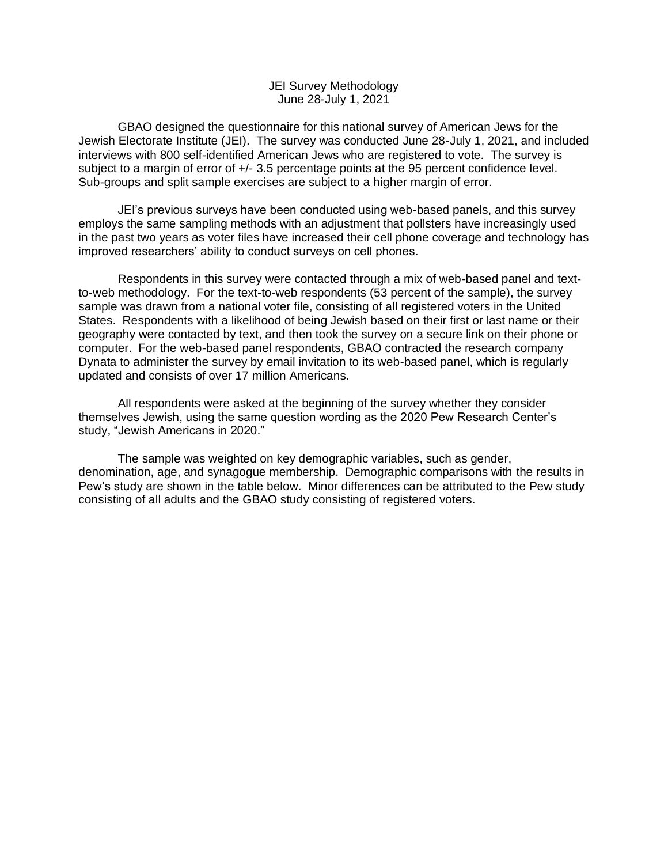## JEI Survey Methodology June 28-July 1, 2021

GBAO designed the questionnaire for this national survey of American Jews for the Jewish Electorate Institute (JEI). The survey was conducted June 28-July 1, 2021, and included interviews with 800 self-identified American Jews who are registered to vote. The survey is subject to a margin of error of  $+/- 3.5$  percentage points at the 95 percent confidence level. Sub-groups and split sample exercises are subject to a higher margin of error.

JEI's previous surveys have been conducted using web-based panels, and this survey employs the same sampling methods with an adjustment that pollsters have increasingly used in the past two years as voter files have increased their cell phone coverage and technology has improved researchers' ability to conduct surveys on cell phones.

Respondents in this survey were contacted through a mix of web-based panel and textto-web methodology. For the text-to-web respondents (53 percent of the sample), the survey sample was drawn from a national voter file, consisting of all registered voters in the United States. Respondents with a likelihood of being Jewish based on their first or last name or their geography were contacted by text, and then took the survey on a secure link on their phone or computer. For the web-based panel respondents, GBAO contracted the research company Dynata to administer the survey by email invitation to its web-based panel, which is regularly updated and consists of over 17 million Americans.

All respondents were asked at the beginning of the survey whether they consider themselves Jewish, using the same question wording as the 2020 Pew Research Center's study, "Jewish Americans in 2020."

The sample was weighted on key demographic variables, such as gender, denomination, age, and synagogue membership. Demographic comparisons with the results in Pew's study are shown in the table below. Minor differences can be attributed to the Pew study consisting of all adults and the GBAO study consisting of registered voters.